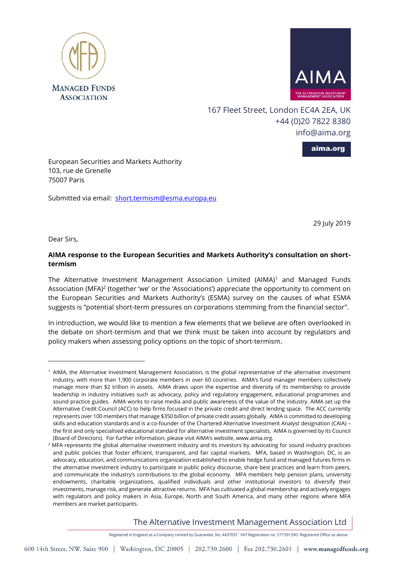



167 Fleet Street, London EC4A 2EA, UK +44 (0)20 7822 8380 [info@aima.org](mailto:info@aima.org)

aima.org

European Securities and Markets Authority 103, rue de Grenelle 75007 Paris

Submitted via email: [short.termism@esma.europa.eu](mailto:short.termism@esma.europa.eu)

29 July 2019

Dear Sirs,

 $\overline{a}$ 

# **AIMA response to the European Securities and Markets Authority's consultation on shorttermism**

The Alternative Investment Management Association Limited  $(AIMA)^1$  and Managed Funds Association (MFA)<sup>2</sup> (together 'we' or the 'Associations') appreciate the opportunity to comment on the European Securities and Markets Authority's (ESMA) survey on the causes of what ESMA suggests is "potential short-term pressures on corporations stemming from the financial sector".

In introduction, we would like to mention a few elements that we believe are often overlooked in the debate on short-termism and that we think must be taken into account by regulators and policy makers when assessing policy options on the topic of short-termism.

The Alternative Investment Management Association Ltd

Registered in England as a Company Limited by Guarantee, No. 4437037. VAT Registration no. 577591390. Registered Office as above.

 $1$  AIMA, the Alternative Investment Management Association, is the global representative of the alternative investment industry, with more than 1,900 corporate members in over 60 countries. AIMA's fund manager members collectively manage more than \$2 trillion in assets. AIMA draws upon the expertise and diversity of its membership to provide leadership in industry initiatives such as advocacy, policy and regulatory engagement, educational programmes and sound practice guides. AIMA works to raise media and public awareness of the value of the industry. AIMA set up the Alternative Credit Council (ACC) to help firms focused in the private credit and direct lending space. The ACC currently represents over 100 members that manage \$350 billion of private credit assets globally. AIMA is committed to developing skills and education standards and is a co-founder of the Chartered Alternative Investment Analyst designation (CAIA) – the first and only specialised educational standard for alternative investment specialists. AIMA is governed by its Council (Board of Directors). For further information, please visit AIMA's website, [www.aima.org.](http://www.aima.org/)

<sup>&</sup>lt;sup>2</sup> MFA represents the global alternative investment industry and its investors by advocating for sound industry practices and public policies that foster efficient, transparent, and fair capital markets. MFA, based in Washington, DC, is an advocacy, education, and communications organization established to enable hedge fund and managed futures firms in the alternative investment industry to participate in public policy discourse, share best practices and learn from peers, and communicate the industry's contributions to the global economy. MFA members help pension plans, university endowments, charitable organizations, qualified individuals and other institutional investors to diversify their investments, manage risk, and generate attractive returns. MFA has cultivated a global membership and actively engages with regulators and policy makers in Asia, Europe, North and South America, and many other regions where MFA members are market participants.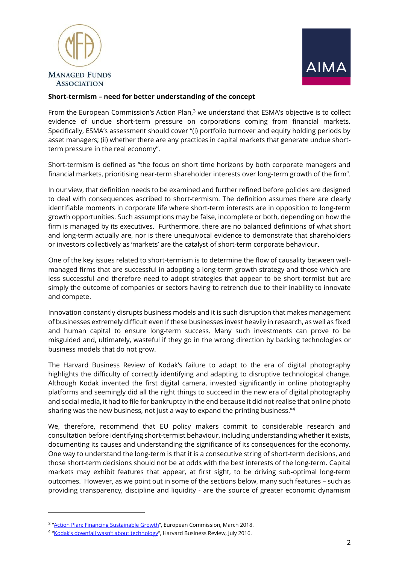



## **Short-termism – need for better understanding of the concept**

From the European Commission's Action Plan, $^3$  we understand that ESMA's objective is to collect evidence of undue short-term pressure on corporations coming from financial markets. Specifically, ESMA's assessment should cover "(i) portfolio turnover and equity holding periods by asset managers; (ii) whether there are any practices in capital markets that generate undue shortterm pressure in the real economy".

Short-termism is defined as "the focus on short time horizons by both corporate managers and financial markets, prioritising near-term shareholder interests over long-term growth of the firm".

In our view, that definition needs to be examined and further refined before policies are designed to deal with consequences ascribed to short-termism. The definition assumes there are clearly identifiable moments in corporate life where short-term interests are in opposition to long-term growth opportunities. Such assumptions may be false, incomplete or both, depending on how the firm is managed by its executives. Furthermore, there are no balanced definitions of what short and long-term actually are, nor is there unequivocal evidence to demonstrate that shareholders or investors collectively as 'markets' are the catalyst of short-term corporate behaviour.

One of the key issues related to short-termism is to determine the flow of causality between wellmanaged firms that are successful in adopting a long-term growth strategy and those which are less successful and therefore need to adopt strategies that appear to be short-termist but are simply the outcome of companies or sectors having to retrench due to their inability to innovate and compete.

Innovation constantly disrupts business models and it is such disruption that makes management of businesses extremely difficult even if these businesses invest heavily in research, as well as fixed and human capital to ensure long-term success. Many such investments can prove to be misguided and, ultimately, wasteful if they go in the wrong direction by backing technologies or business models that do not grow.

The Harvard Business Review of Kodak's failure to adapt to the era of digital photography highlights the difficulty of correctly identifying and adapting to disruptive technological change. Although Kodak invented the first digital camera, invested significantly in online photography platforms and seemingly did all the right things to succeed in the new era of digital photography and social media, it had to file for bankruptcy in the end because it did not realise that online photo sharing was the new business, not just a way to expand the printing business."<sup>4</sup>

We, therefore, recommend that EU policy makers commit to considerable research and consultation before identifying short-termist behaviour, including understanding whether it exists, documenting its causes and understanding the significance of its consequences for the economy. One way to understand the long-term is that it is a consecutive string of short-term decisions, and those short-term decisions should not be at odds with the best interests of the long-term. Capital markets may exhibit features that appear, at first sight, to be driving sub-optimal long-term outcomes. However, as we point out in some of the sections below, many such features – such as providing transparency, discipline and liquidity - are the source of greater economic dynamism

 $\overline{a}$ 

<sup>&</sup>lt;sup>3</sup> "[Action Plan: Financing Sustainable Growth](https://eur-lex.europa.eu/legal-content/EN/TXT/?uri=CELEX:52018DC0097)", European Commission, March 2018.

<sup>&</sup>lt;sup>4</sup> ["Kodak's downfall wasn't about technology"](https://hbr.org/2016/07/kodaks-downfall-wasnt-about-technology), Harvard Business Review, July 2016.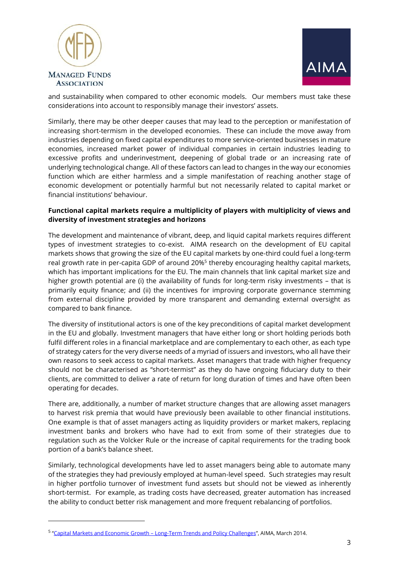

 $\overline{a}$ 



and sustainability when compared to other economic models. Our members must take these considerations into account to responsibly manage their investors' assets.

Similarly, there may be other deeper causes that may lead to the perception or manifestation of increasing short-termism in the developed economies. These can include the move away from industries depending on fixed capital expenditures to more service-oriented businesses in mature economies, increased market power of individual companies in certain industries leading to excessive profits and underinvestment, deepening of global trade or an increasing rate of underlying technological change. All of these factors can lead to changes in the way our economies function which are either harmless and a simple manifestation of reaching another stage of economic development or potentially harmful but not necessarily related to capital market or financial institutions' behaviour.

# **Functional capital markets require a multiplicity of players with multiplicity of views and diversity of investment strategies and horizons**

The development and maintenance of vibrant, deep, and liquid capital markets requires different types of investment strategies to co-exist. AIMA research on the development of EU capital markets shows that growing the size of the EU capital markets by one-third could fuel a long-term real growth rate in per-capita GDP of around 20%<sup>5</sup> thereby encouraging healthy capital markets, which has important implications for the EU. The main channels that link capital market size and higher growth potential are (i) the availability of funds for long-term risky investments - that is primarily equity finance; and (ii) the incentives for improving corporate governance stemming from external discipline provided by more transparent and demanding external oversight as compared to bank finance.

The diversity of institutional actors is one of the key preconditions of capital market development in the EU and globally. Investment managers that have either long or short holding periods both fulfil different roles in a financial marketplace and are complementary to each other, as each type of strategy caters for the very diverse needs of a myriad of issuers and investors, who all have their own reasons to seek access to capital markets. Asset managers that trade with higher frequency should not be characterised as "short-termist" as they do have ongoing fiduciary duty to their clients, are committed to deliver a rate of return for long duration of times and have often been operating for decades.

There are, additionally, a number of market structure changes that are allowing asset managers to harvest risk premia that would have previously been available to other financial institutions. One example is that of asset managers acting as liquidity providers or market makers, replacing investment banks and brokers who have had to exit from some of their strategies due to regulation such as the Volcker Rule or the increase of capital requirements for the trading book portion of a bank's balance sheet.

Similarly, technological developments have led to asset managers being able to automate many of the strategies they had previously employed at human-level speed. Such strategies may result in higher portfolio turnover of investment fund assets but should not be viewed as inherently short-termist. For example, as trading costs have decreased, greater automation has increased the ability to conduct better risk management and more frequent rebalancing of portfolios.

<sup>&</sup>lt;sup>5</sup> "<u>Capital Markets and Economic Growth – [Long-Term Trends and Policy Challenges](https://www.aima.org/article/capital-markets-and-economic-growth-long-term-trends-and-policy-challenges.html)</u>", AIMA, March 2014.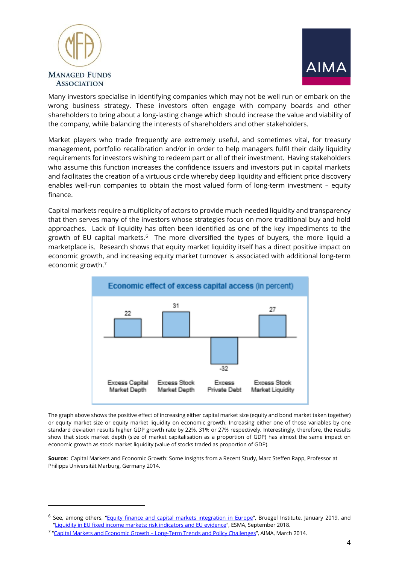

 $\overline{a}$ 



Many investors specialise in identifying companies which may not be well run or embark on the wrong business strategy. These investors often engage with company boards and other shareholders to bring about a long-lasting change which should increase the value and viability of the company, while balancing the interests of shareholders and other stakeholders.

Market players who trade frequently are extremely useful, and sometimes vital, for treasury management, portfolio recalibration and/or in order to help managers fulfil their daily liquidity requirements for investors wishing to redeem part or all of their investment. Having stakeholders who assume this function increases the confidence issuers and investors put in capital markets and facilitates the creation of a virtuous circle whereby deep liquidity and efficient price discovery enables well-run companies to obtain the most valued form of long-term investment – equity finance.

Capital markets require a multiplicity of actors to provide much-needed liquidity and transparency that then serves many of the investors whose strategies focus on more traditional buy and hold approaches. Lack of liquidity has often been identified as one of the key impediments to the growth of EU capital markets. $^6$  The more diversified the types of buyers, the more liquid a marketplace is. Research shows that equity market liquidity itself has a direct positive impact on economic growth, and increasing equity market turnover is associated with additional long-term economic growth.<sup>7</sup>



The graph above shows the positive effect of increasing either capital market size (equity and bond market taken together) or equity market size or equity market liquidity on economic growth. Increasing either one of those variables by one standard deviation results higher GDP growth rate by 22%, 31% or 27% respectively. Interestingly, therefore, the results show that stock market depth (size of market capitalisation as a proportion of GDP) has almost the same impact on economic growth as stock market liquidity (value of stocks traded as proportion of GDP).

**Source:** Capital Markets and Economic Growth: Some Insights from a Recent Study, Marc Steffen Rapp, Professor at Philipps Universität Marburg, Germany 2014.

<sup>&</sup>lt;sup>6</sup> See, among others, "[Equity finance and capital markets integration in Europe](https://bruegel.org/2019/01/equity-finance-and-capital-market-integration-in-europe/)", Bruegel Institute, January 2019, and "[Liquidity in EU fixed income markets: risk indicators and EU evidence](https://www.esma.europa.eu/document/esma-working-paper-liquidity-in-eu-fixed-income-markets-–-risk-indicators-and-eu-evidence)", ESMA, September 2018.

<sup>&</sup>lt;sup>7</sup> "<u>Capital Markets and Economic Growth – [Long-Term Trends and Policy Challenges](https://www.aima.org/article/capital-markets-and-economic-growth-long-term-trends-and-policy-challenges.html)</u>", AIMA, March 2014.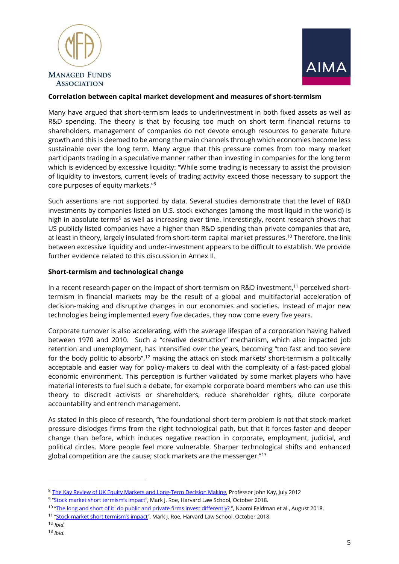



## **Correlation between capital market development and measures of short-termism**

Many have argued that short-termism leads to underinvestment in both fixed assets as well as R&D spending. The theory is that by focusing too much on short term financial returns to shareholders, management of companies do not devote enough resources to generate future growth and this is deemed to be among the main channels through which economies become less sustainable over the long term. Many argue that this pressure comes from too many market participants trading in a speculative manner rather than investing in companies for the long term which is evidenced by excessive liquidity: "While some trading is necessary to assist the provision of liquidity to investors, current levels of trading activity exceed those necessary to support the core purposes of equity markets." 8

Such assertions are not supported by data. Several studies demonstrate that the level of R&D investments by companies listed on U.S. stock exchanges (among the most liquid in the world) is high in absolute terms<sup>9</sup> as well as increasing over time. Interestingly, recent research shows that US publicly listed companies have a higher than R&D spending than private companies that are, at least in theory, largely insulated from short-term capital market pressures.<sup>10</sup> Therefore, the link between excessive liquidity and under-investment appears to be difficult to establish. We provide further evidence related to this discussion in Annex II.

## **Short-termism and technological change**

In a recent research paper on the impact of short-termism on R&D investment, $^{\rm 11}$  perceived shorttermism in financial markets may be the result of a global and multifactorial acceleration of decision-making and disruptive changes in our economies and societies. Instead of major new technologies being implemented every five decades, they now come every five years.

Corporate turnover is also accelerating, with the average lifespan of a corporation having halved between 1970 and 2010. Such a "creative destruction" mechanism, which also impacted job retention and unemployment, has intensified over the years, becoming "too fast and too severe for the body politic to absorb",<sup>12</sup> making the attack on stock markets' short-termism a politically acceptable and easier way for policy-makers to deal with the complexity of a fast-paced global economic environment. This perception is further validated by some market players who have material interests to fuel such a debate, for example corporate board members who can use this theory to discredit activists or shareholders, reduce shareholder rights, dilute corporate accountability and entrench management.

As stated in this piece of research, "the foundational short-term problem is not that stock-market pressure dislodges firms from the right technological path, but that it forces faster and deeper change than before, which induces negative reaction in corporate, employment, judicial, and political circles. More people feel more vulnerable. Sharper technological shifts and enhanced global competition are the cause; stock markets are the messenger."<sup>13</sup>

 $\overline{a}$ 

<sup>8</sup> [The Kay Review of UK Equity Markets and Long-Term Decision Making,](https://assets.publishing.service.gov.uk/government/uploads/system/uploads/attachment_data/file/253454/bis-12-917-kay-review-of-equity-markets-final-report.pdf) Professor John Kay, July 2012

<sup>&</sup>lt;sup>9</sup> "<u>Stock market short termism's impact</u>", Mark J. Roe, Harvard Law School, October 2018.

<sup>&</sup>lt;sup>10</sup> "<u>The long and short of it: do public and private firms invest differently?</u> ", Naomi Feldman et al., August 2018.

<sup>&</sup>lt;sup>11</sup> ["Stock market short termism's impact"](https://papers.ssrn.com/sol3/papers.cfm?abstract_id=3171090), Mark J. Roe, Harvard Law School, October 2018.

<sup>12</sup> *Ibid.*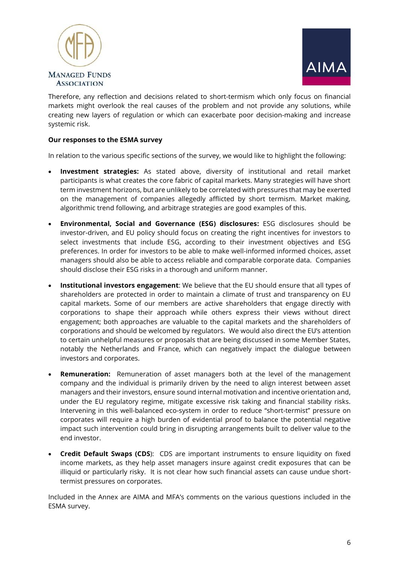



Therefore, any reflection and decisions related to short-termism which only focus on financial markets might overlook the real causes of the problem and not provide any solutions, while creating new layers of regulation or which can exacerbate poor decision-making and increase systemic risk.

# **Our responses to the ESMA survey**

In relation to the various specific sections of the survey, we would like to highlight the following:

- **Investment strategies:** As stated above, diversity of institutional and retail market participants is what creates the core fabric of capital markets. Many strategies will have short term investment horizons, but are unlikely to be correlated with pressures that may be exerted on the management of companies allegedly afflicted by short termism. Market making, algorithmic trend following, and arbitrage strategies are good examples of this.
- **Environmental, Social and Governance (ESG) disclosures:** ESG disclosures should be investor-driven, and EU policy should focus on creating the right incentives for investors to select investments that include ESG, according to their investment objectives and ESG preferences. In order for investors to be able to make well-informed informed choices, asset managers should also be able to access reliable and comparable corporate data. Companies should disclose their ESG risks in a thorough and uniform manner.
- **Institutional investors engagement**: We believe that the EU should ensure that all types of shareholders are protected in order to maintain a climate of trust and transparency on EU capital markets. Some of our members are active shareholders that engage directly with corporations to shape their approach while others express their views without direct engagement; both approaches are valuable to the capital markets and the shareholders of corporations and should be welcomed by regulators. We would also direct the EU's attention to certain unhelpful measures or proposals that are being discussed in some Member States, notably the Netherlands and France, which can negatively impact the dialogue between investors and corporates.
- **Remuneration:** Remuneration of asset managers both at the level of the management company and the individual is primarily driven by the need to align interest between asset managers and their investors, ensure sound internal motivation and incentive orientation and, under the EU regulatory regime, mitigate excessive risk taking and financial stability risks. Intervening in this well-balanced eco-system in order to reduce "short-termist" pressure on corporates will require a high burden of evidential proof to balance the potential negative impact such intervention could bring in disrupting arrangements built to deliver value to the end investor.
- **Credit Default Swaps (CDS**): CDS are important instruments to ensure liquidity on fixed income markets, as they help asset managers insure against credit exposures that can be illiquid or particularly risky. It is not clear how such financial assets can cause undue shorttermist pressures on corporates.

Included in the Annex are AIMA and MFA's comments on the various questions included in the ESMA survey.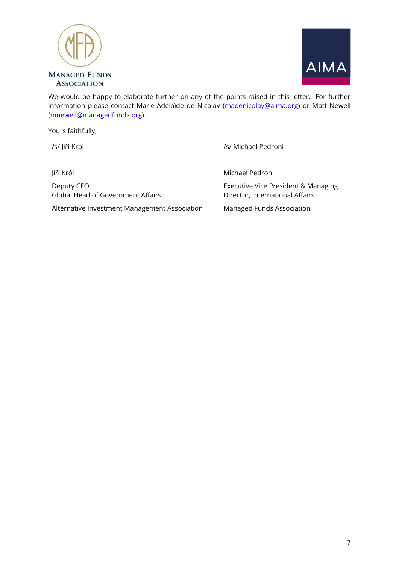



We would be happy to elaborate further on any of the points raised in this letter. For further information please contact Marie-Adélaïde de Nicolay [\(madenicolay@aima.org\)](mailto:madenicolay@aima.org) or Matt Newell [\(mnewell@managedfunds.org\)](mailto:mnewell@managedfunds.org).

Yours faithfully,

Jiří Król

Deputy CEO Global Head of Government Affairs

Alternative Investment Management Association

/s/ Jiří Król */s/ Ji*ří Król */s/ Ji*ří Król */s/ Michael Pedroni* 

Michael Pedroni

Executive Vice President & Managing Director, International Affairs

Managed Funds Association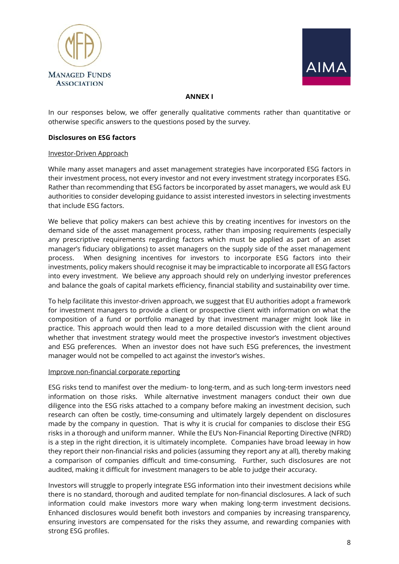



#### **ANNEX I**

In our responses below, we offer generally qualitative comments rather than quantitative or otherwise specific answers to the questions posed by the survey.

## **Disclosures on ESG factors**

#### Investor-Driven Approach

While many asset managers and asset management strategies have incorporated ESG factors in their investment process, not every investor and not every investment strategy incorporates ESG. Rather than recommending that ESG factors be incorporated by asset managers, we would ask EU authorities to consider developing guidance to assist interested investors in selecting investments that include ESG factors.

We believe that policy makers can best achieve this by creating incentives for investors on the demand side of the asset management process, rather than imposing requirements (especially any prescriptive requirements regarding factors which must be applied as part of an asset manager's fiduciary obligations) to asset managers on the supply side of the asset management process. When designing incentives for investors to incorporate ESG factors into their investments, policy makers should recognise it may be impracticable to incorporate all ESG factors into every investment. We believe any approach should rely on underlying investor preferences and balance the goals of capital markets efficiency, financial stability and sustainability over time.

To help facilitate this investor-driven approach, we suggest that EU authorities adopt a framework for investment managers to provide a client or prospective client with information on what the composition of a fund or portfolio managed by that investment manager might look like in practice. This approach would then lead to a more detailed discussion with the client around whether that investment strategy would meet the prospective investor's investment objectives and ESG preferences. When an investor does not have such ESG preferences, the investment manager would not be compelled to act against the investor's wishes.

#### Improve non-financial corporate reporting

ESG risks tend to manifest over the medium- to long-term, and as such long-term investors need information on those risks. While alternative investment managers conduct their own due diligence into the ESG risks attached to a company before making an investment decision, such research can often be costly, time-consuming and ultimately largely dependent on disclosures made by the company in question. That is why it is crucial for companies to disclose their ESG risks in a thorough and uniform manner. While the EU's Non-Financial Reporting Directive (NFRD) is a step in the right direction, it is ultimately incomplete. Companies have broad leeway in how they report their non-financial risks and policies (assuming they report any at all), thereby making a comparison of companies difficult and time-consuming. Further, such disclosures are not audited, making it difficult for investment managers to be able to judge their accuracy.

Investors will struggle to properly integrate ESG information into their investment decisions while there is no standard, thorough and audited template for non-financial disclosures. A lack of such information could make investors more wary when making long-term investment decisions. Enhanced disclosures would benefit both investors and companies by increasing transparency, ensuring investors are compensated for the risks they assume, and rewarding companies with strong ESG profiles.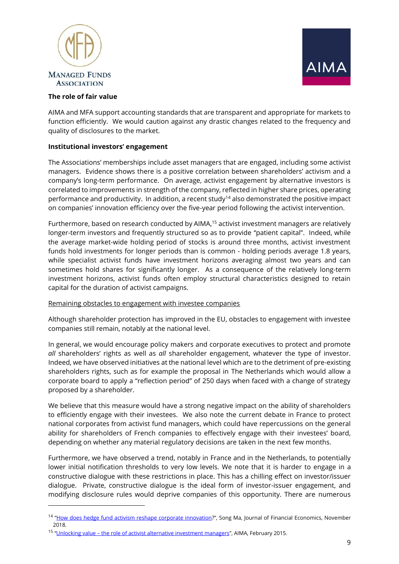



# **The role of fair value**

 $\overline{a}$ 

AIMA and MFA support accounting standards that are transparent and appropriate for markets to function efficiently. We would caution against any drastic changes related to the frequency and quality of disclosures to the market.

## **Institutional investors' engagement**

The Associations' memberships include asset managers that are engaged, including some activist managers. Evidence shows there is a positive correlation between shareholders' activism and a company's long-term performance. On average, activist engagement by alternative investors is correlated to improvements in strength of the company, reflected in higher share prices, operating performance and productivity. In addition, a recent study<sup>14</sup> also demonstrated the positive impact on companies' innovation efficiency over the five-year period following the activist intervention.

Furthermore, based on research conducted by AIMA,<sup>15</sup> activist investment managers are relatively longer-term investors and frequently structured so as to provide "patient capital". Indeed, while the average market-wide holding period of stocks is around three months, activist investment funds hold investments for longer periods than is common - holding periods average 1.8 years, while specialist activist funds have investment horizons averaging almost two years and can sometimes hold shares for significantly longer. As a consequence of the relatively long-term investment horizons, activist funds often employ structural characteristics designed to retain capital for the duration of activist campaigns.

#### Remaining obstacles to engagement with investee companies

Although shareholder protection has improved in the EU, obstacles to engagement with investee companies still remain, notably at the national level.

In general, we would encourage policy makers and corporate executives to protect and promote *all* shareholders' rights as well as *all* shareholder engagement, whatever the type of investor. Indeed, we have observed initiatives at the national level which are to the detriment of pre-existing shareholders rights, such as for example the proposal in The Netherlands which would allow a corporate board to apply a "reflection period" of 250 days when faced with a change of strategy proposed by a shareholder.

We believe that this measure would have a strong negative impact on the ability of shareholders to efficiently engage with their investees. We also note the current debate in France to protect national corporates from activist fund managers, which could have repercussions on the general ability for shareholders of French companies to effectively engage with their investees' board, depending on whether any material regulatory decisions are taken in the next few months.

Furthermore, we have observed a trend, notably in France and in the Netherlands, to potentially lower initial notification thresholds to very low levels. We note that it is harder to engage in a constructive dialogue with these restrictions in place. This has a chilling effect on investor/issuer dialogue. Private, constructive dialogue is the ideal form of investor-issuer engagement, and modifying disclosure rules would deprive companies of this opportunity. There are numerous

<sup>&</sup>lt;sup>14</sup> "[How does hedge fund activism reshape corporate innovation](https://www.sciencedirect.com/science/article/pii/S0304405X18301727?via%3Dihub)?", Song Ma, Journal of Financial Economics, November 2018.

<sup>&</sup>lt;sup>15</sup> "<u>Unlocking value – [the role of activist alternative investment managers](https://www.aima.org/uploads/assets/uploaded/93317024-96f8-4886-a175a128dc730374.pdf)</u>", AIMA, February 2015.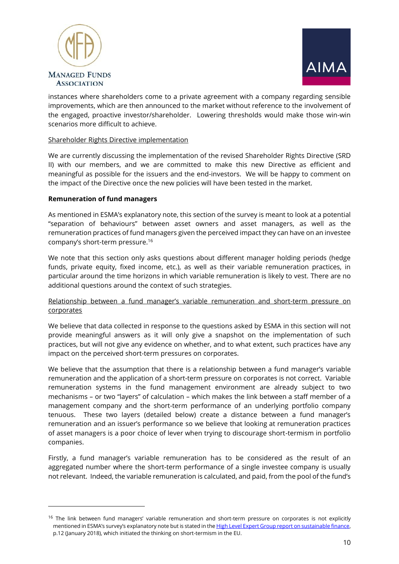



instances where shareholders come to a private agreement with a company regarding sensible improvements, which are then announced to the market without reference to the involvement of the engaged, proactive investor/shareholder. Lowering thresholds would make those win-win scenarios more difficult to achieve.

## Shareholder Rights Directive implementation

We are currently discussing the implementation of the revised Shareholder Rights Directive (SRD II) with our members, and we are committed to make this new Directive as efficient and meaningful as possible for the issuers and the end-investors. We will be happy to comment on the impact of the Directive once the new policies will have been tested in the market.

## **Remuneration of fund managers**

 $\overline{a}$ 

As mentioned in ESMA's explanatory note, this section of the survey is meant to look at a potential "separation of behaviours" between asset owners and asset managers, as well as the remuneration practices of fund managers given the perceived impact they can have on an investee company's short-term pressure. 16

We note that this section only asks questions about different manager holding periods (hedge funds, private equity, fixed income, etc.), as well as their variable remuneration practices, in particular around the time horizons in which variable remuneration is likely to vest. There are no additional questions around the context of such strategies.

# Relationship between a fund manager's variable remuneration and short-term pressure on corporates

We believe that data collected in response to the questions asked by ESMA in this section will not provide meaningful answers as it will only give a snapshot on the implementation of such practices, but will not give any evidence on whether, and to what extent, such practices have any impact on the perceived short-term pressures on corporates.

We believe that the assumption that there is a relationship between a fund manager's variable remuneration and the application of a short-term pressure on corporates is not correct. Variable remuneration systems in the fund management environment are already subject to two mechanisms – or two "layers" of calculation – which makes the link between a staff member of a management company and the short-term performance of an underlying portfolio company tenuous. These two layers (detailed below) create a distance between a fund manager's remuneration and an issuer's performance so we believe that looking at remuneration practices of asset managers is a poor choice of lever when trying to discourage short-termism in portfolio companies.

Firstly, a fund manager's variable remuneration has to be considered as the result of an aggregated number where the short-term performance of a single investee company is usually not relevant. Indeed, the variable remuneration is calculated, and paid, from the pool of the fund's

 $16$  The link between fund managers' variable remuneration and short-term pressure on corporates is not explicitly mentioned in ESMA's survey's explanatory note but is stated in the High Level Expert Group report on sustainable finance, p.12 (January 2018), which initiated the thinking on short-termism in the EU.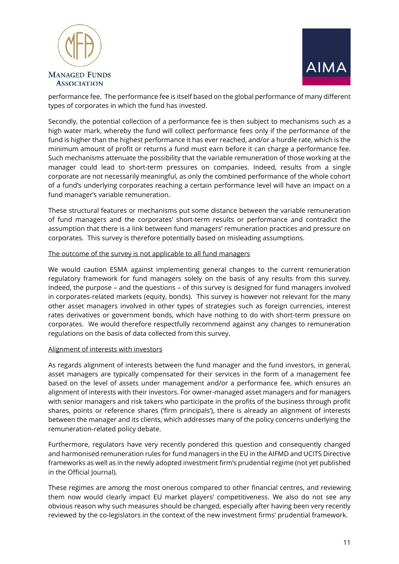



performance fee. The performance fee is itself based on the global performance of many different types of corporates in which the fund has invested.

Secondly, the potential collection of a performance fee is then subject to mechanisms such as a high water mark, whereby the fund will collect performance fees only if the performance of the fund is higher than the highest performance it has ever reached, and/or a hurdle rate, which is the minimum amount of profit or returns a fund must earn before it can charge a performance fee. Such mechanisms attenuate the possibility that the variable remuneration of those working at the manager could lead to short-term pressures on companies. Indeed, results from a single corporate are not necessarily meaningful, as only the combined performance of the whole cohort of a fund's underlying corporates reaching a certain performance level will have an impact on a fund manager's variable remuneration.

These structural features or mechanisms put some distance between the variable remuneration of fund managers and the corporates' short-term results or performance and contradict the assumption that there is a link between fund managers' remuneration practices and pressure on corporates. This survey is therefore potentially based on misleading assumptions.

#### The outcome of the survey is not applicable to all fund managers

We would caution ESMA against implementing general changes to the current remuneration regulatory framework for fund managers solely on the basis of any results from this survey. Indeed, the purpose – and the questions – of this survey is designed for fund managers involved in corporates-related markets (equity, bonds). This survey is however not relevant for the many other asset managers involved in other types of strategies such as foreign currencies, interest rates derivatives or government bonds, which have nothing to do with short-term pressure on corporates. We would therefore respectfully recommend against any changes to remuneration regulations on the basis of data collected from this survey.

#### Alignment of interests with investors

As regards alignment of interests between the fund manager and the fund investors, in general, asset managers are typically compensated for their services in the form of a management fee based on the level of assets under management and/or a performance fee, which ensures an alignment of interests with their investors. For owner-managed asset managers and for managers with senior managers and risk takers who participate in the profits of the business through profit shares, points or reference shares ('firm principals'), there is already an alignment of interests between the manager and its clients, which addresses many of the policy concerns underlying the remuneration-related policy debate.

Furthermore, regulators have very recently pondered this question and consequently changed and harmonised remuneration rules for fund managers in the EU in the AIFMD and UCITS Directive frameworks as well as in the newly adopted investment firm's prudential regime (not yet published in the Official Journal).

These regimes are among the most onerous compared to other financial centres, and reviewing them now would clearly impact EU market players' competitiveness. We also do not see any obvious reason why such measures should be changed, especially after having been very recently reviewed by the co-legislators in the context of the new investment firms' prudential framework.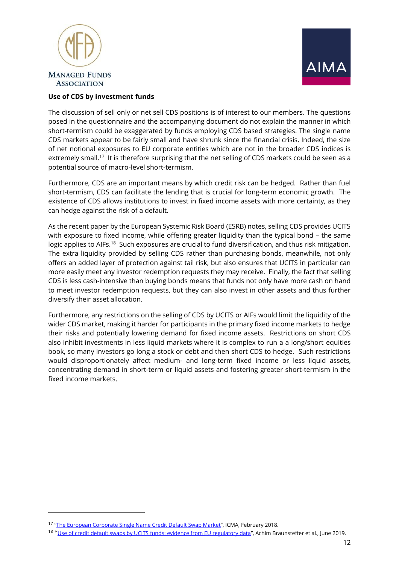



# **Use of CDS by investment funds**

The discussion of sell only or net sell CDS positions is of interest to our members. The questions posed in the questionnaire and the accompanying document do not explain the manner in which short-termism could be exaggerated by funds employing CDS based strategies. The single name CDS markets appear to be fairly small and have shrunk since the financial crisis. Indeed, the size of net notional exposures to EU corporate entities which are not in the broader CDS indices is extremely small.<sup>17</sup> It is therefore surprising that the net selling of CDS markets could be seen as a potential source of macro-level short-termism.

Furthermore, CDS are an important means by which credit risk can be hedged. Rather than fuel short-termism, CDS can facilitate the lending that is crucial for long-term economic growth. The existence of CDS allows institutions to invest in fixed income assets with more certainty, as they can hedge against the risk of a default.

As the recent paper by the European Systemic Risk Board (ESRB) notes, selling CDS provides UCITS with exposure to fixed income, while offering greater liquidity than the typical bond – the same logic applies to AIFs.<sup>18</sup> Such exposures are crucial to fund diversification, and thus risk mitigation. The extra liquidity provided by selling CDS rather than purchasing bonds, meanwhile, not only offers an added layer of protection against tail risk, but also ensures that UCITS in particular can more easily meet any investor redemption requests they may receive. Finally, the fact that selling CDS is less cash-intensive than buying bonds means that funds not only have more cash on hand to meet investor redemption requests, but they can also invest in other assets and thus further diversify their asset allocation.

Furthermore, any restrictions on the selling of CDS by UCITS or AIFs would limit the liquidity of the wider CDS market, making it harder for participants in the primary fixed income markets to hedge their risks and potentially lowering demand for fixed income assets. Restrictions on short CDS also inhibit investments in less liquid markets where it is complex to run a a long/short equities book, so many investors go long a stock or debt and then short CDS to hedge. Such restrictions would disproportionately affect medium- and long-term fixed income or less liquid assets, concentrating demand in short-term or liquid assets and fostering greater short-termism in the fixed income markets.

 $\overline{a}$ 

<sup>&</sup>lt;sup>17</sup> "<u>[The European Corporate Single Name Credit Default Swap Market](https://www.icmagroup.org/assets/documents/Regulatory/Secondary-markets/The-European-Corporate-Single-Name-Credit-Default-Swap-Market-SMPC-Report-150218.pdf)</u>", ICMA, February 2018.

<sup>&</sup>lt;sup>18</sup> "[Use of credit default swaps by UCITS funds: evidence from EU regulatory data](https://www.esrb.europa.eu/pub/pdf/wp/esrb.wp95~4ce4d43515.en.pdf?872251ee1ebc8f60db6624baa363b4ca)", Achim Braunsteffer et al., June 2019.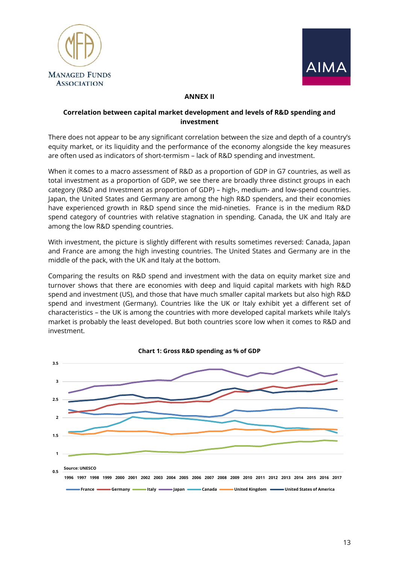



#### **ANNEX II**

# **Correlation between capital market development and levels of R&D spending and investment**

There does not appear to be any significant correlation between the size and depth of a country's equity market, or its liquidity and the performance of the economy alongside the key measures are often used as indicators of short-termism – lack of R&D spending and investment.

When it comes to a macro assessment of R&D as a proportion of GDP in G7 countries, as well as total investment as a proportion of GDP, we see there are broadly three distinct groups in each category (R&D and Investment as proportion of GDP) – high-, medium- and low-spend countries. Japan, the United States and Germany are among the high R&D spenders, and their economies have experienced growth in R&D spend since the mid-nineties. France is in the medium R&D spend category of countries with relative stagnation in spending. Canada, the UK and Italy are among the low R&D spending countries.

With investment, the picture is slightly different with results sometimes reversed: Canada, Japan and France are among the high investing countries. The United States and Germany are in the middle of the pack, with the UK and Italy at the bottom.

Comparing the results on R&D spend and investment with the data on equity market size and turnover shows that there are economies with deep and liquid capital markets with high R&D spend and investment (US), and those that have much smaller capital markets but also high R&D spend and investment (Germany). Countries like the UK or Italy exhibit yet a different set of characteristics – the UK is among the countries with more developed capital markets while Italy's market is probably the least developed. But both countries score low when it comes to R&D and investment.



**Chart 1: Gross R&D spending as % of GDP**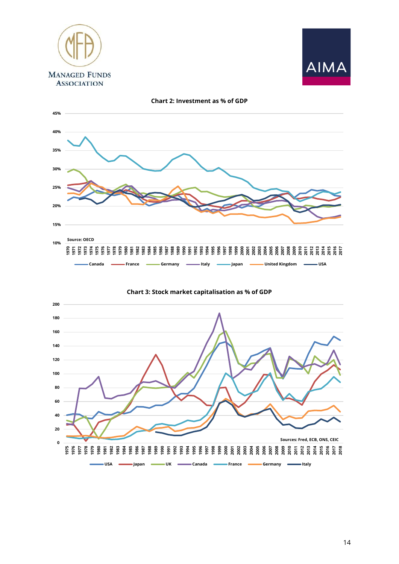





**0 20 40 60 80 100 120 140 160 180 200 1975 1976 1977 1978 1979 1980 1981 1982 1983 1984 1985 1986 1987 1988 1989 1990 1991 1992 1993 1994 1995 1996 1997 1998 1999 2000 2001 2002 2003 2004 2005 2006 2007 2008 2009 2010 2011 2012 2013 2014 2015 2016 2017 2018 Sources: Fred, ECB, ONS, CEIC**

**USA Japan UK Canada France Germany Italy**

**Chart 3: Stock market capitalisation as % of GDP**